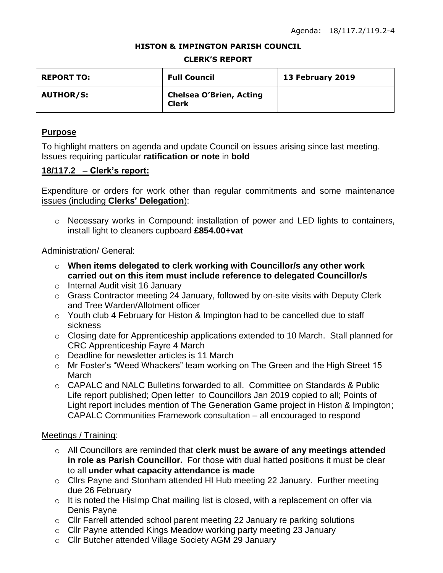#### **HISTON & IMPINGTON PARISH COUNCIL**

#### **CLERK'S REPORT**

| <b>REPORT TO:</b> | <b>Full Council</b>                            | 13 February 2019 |
|-------------------|------------------------------------------------|------------------|
| <b>AUTHOR/S:</b>  | <b>Chelsea O'Brien, Acting</b><br><b>Clerk</b> |                  |

## **Purpose**

To highlight matters on agenda and update Council on issues arising since last meeting. Issues requiring particular **ratification or note** in **bold**

# **18/117.2 – Clerk's report:**

Expenditure or orders for work other than regular commitments and some maintenance issues (including **Clerks' Delegation**):

o Necessary works in Compound: installation of power and LED lights to containers, install light to cleaners cupboard **£854.00+vat**

### Administration/ General:

- o **When items delegated to clerk working with Councillor/s any other work carried out on this item must include reference to delegated Councillor/s**
- o Internal Audit visit 16 January
- o Grass Contractor meeting 24 January, followed by on-site visits with Deputy Clerk and Tree Warden/Allotment officer
- o Youth club 4 February for Histon & Impington had to be cancelled due to staff sickness
- o Closing date for Apprenticeship applications extended to 10 March. Stall planned for CRC Apprenticeship Fayre 4 March
- o Deadline for newsletter articles is 11 March
- o Mr Foster's "Weed Whackers" team working on The Green and the High Street 15 March
- $\circ$  CAPALC and NALC Bulletins forwarded to all. Committee on Standards & Public Life report published; Open letter to Councillors Jan 2019 copied to all; Points of Light report includes mention of The Generation Game project in Histon & Impington; CAPALC Communities Framework consultation – all encouraged to respond

# Meetings / Training:

- o All Councillors are reminded that **clerk must be aware of any meetings attended in role as Parish Councillor.** For those with dual hatted positions it must be clear to all **under what capacity attendance is made**
- o Cllrs Payne and Stonham attended HI Hub meeting 22 January. Further meeting due 26 February
- $\circ$  It is noted the HisImp Chat mailing list is closed, with a replacement on offer via Denis Payne
- o Cllr Farrell attended school parent meeting 22 January re parking solutions
- o Cllr Payne attended Kings Meadow working party meeting 23 January
- o Cllr Butcher attended Village Society AGM 29 January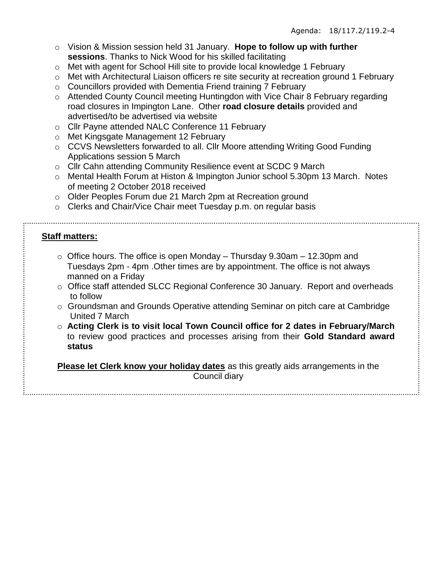- o Vision & Mission session held 31 January. **Hope to follow up with further sessions**. Thanks to Nick Wood for his skilled facilitating
- o Met with agent for School Hill site to provide local knowledge 1 February
- o Met with Architectural Liaison officers re site security at recreation ground 1 February
- o Councillors provided with Dementia Friend training 7 February
- o Attended County Council meeting Huntingdon with Vice Chair 8 February regarding road closures in Impington Lane. Other **road closure details** provided and advertised/to be advertised via website
- o Cllr Payne attended NALC Conference 11 February
- o Met Kingsgate Management 12 February
- o CCVS Newsletters forwarded to all. Cllr Moore attending Writing Good Funding Applications session 5 March
- o Cllr Cahn attending Community Resilience event at SCDC 9 March
- o Mental Health Forum at Histon & Impington Junior school 5.30pm 13 March. Notes of meeting 2 October 2018 received
- o Older Peoples Forum due 21 March 2pm at Recreation ground
- o Clerks and Chair/Vice Chair meet Tuesday p.m. on regular basis

# **Staff matters:**

- $\circ$  Office hours. The office is open Monday Thursday 9.30am 12.30pm and Tuesdays 2pm - 4pm .Other times are by appointment. The office is not always manned on a Friday
- o Office staff attended SLCC Regional Conference 30 January. Report and overheads to follow
- o Groundsman and Grounds Operative attending Seminar on pitch care at Cambridge United 7 March
- o **Acting Clerk is to visit local Town Council office for 2 dates in February/March** to review good practices and processes arising from their **Gold Standard award status**

**Please let Clerk know your holiday dates** as this greatly aids arrangements in the

Council diary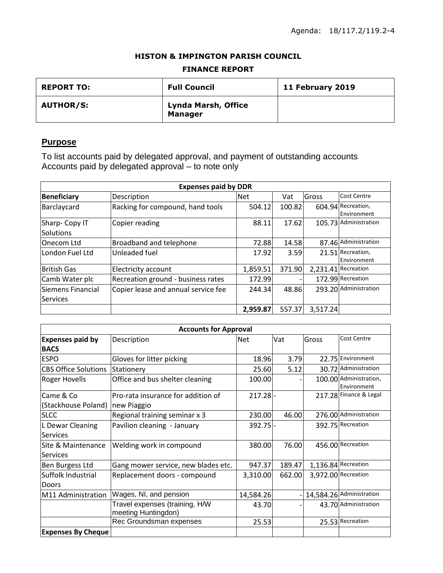## **HISTON & IMPINGTON PARISH COUNCIL**

#### **FINANCE REPORT**

| <b>REPORT TO:</b> | <b>Full Council</b>                          | 11 February 2019 |
|-------------------|----------------------------------------------|------------------|
| <b>AUTHOR/S:</b>  | <b>Lynda Marsh, Office</b><br><b>Manager</b> |                  |

# **Purpose**

To list accounts paid by delegated approval, and payment of outstanding accounts Accounts paid by delegated approval – to note only

| <b>Expenses paid by DDR</b>          |                                     |            |        |          |                                   |
|--------------------------------------|-------------------------------------|------------|--------|----------|-----------------------------------|
| <b>Beneficiary</b>                   | Description                         | <b>Net</b> | Vat    | Gross    | Cost Centre                       |
| Barclaycard                          | Racking for compound, hand tools    | 504.12     | 100.82 |          | 604.94 Recreation,<br>Environment |
| Sharp- Copy IT<br><b>Solutions</b>   | Copier reading                      | 88.11      | 17.62  |          | 105.73 Administration             |
| Onecom Ltd                           | Broadband and telephone             | 72.88      | 14.58  |          | 87.46 Administration              |
| London Fuel Ltd                      | Unleaded fuel                       | 17.92      | 3.59   |          | 21.51 Recreation,<br>Environment  |
| British Gas                          | Electricity account                 | 1,859.51   | 371.90 |          | 2,231.41 Recreation               |
| Camb Water plc                       | Recreation ground - business rates  | 172.99     |        |          | 172.99 Recreation                 |
| Siemens Financial<br><b>Services</b> | Copier lease and annual service fee | 244.34     | 48.86  |          | 293.20 Administration             |
|                                      |                                     | 2,959.87   | 557.37 | 3,517.24 |                                   |

| <b>Accounts for Approval</b> |                                                       |            |        |       |                                       |
|------------------------------|-------------------------------------------------------|------------|--------|-------|---------------------------------------|
| <b>Expenses paid by</b>      | Description                                           | <b>Net</b> | Vat    | Gross | <b>Cost Centre</b>                    |
| <b>BACS</b>                  |                                                       |            |        |       |                                       |
| <b>ESPO</b>                  | Gloves for litter picking                             | 18.96      | 3.79   |       | 22.75 Environment                     |
| <b>CBS Office Solutions</b>  | Stationery                                            | 25.60      | 5.12   |       | 30.72 Administration                  |
| <b>Roger Hovells</b>         | Office and bus shelter cleaning                       | 100.00     |        |       | 100.00 Administration,<br>Environment |
| Came & Co                    | Pro-rata insurance for addition of                    | $217.28 -$ |        |       | 217.28 Finance & Legal                |
| (Stackhouse Poland)          | new Piaggio                                           |            |        |       |                                       |
| <b>SLCC</b>                  | Regional training seminar x 3                         | 230.00     | 46.00  |       | 276.00 Administration                 |
| L Dewar Cleaning             | Pavilion cleaning - January                           | $392.75$ - |        |       | 392.75 Recreation                     |
| <b>Services</b>              |                                                       |            |        |       |                                       |
| Site & Maintenance           | Welding work in compound                              | 380.00     | 76.00  |       | 456.00 Recreation                     |
| <b>Services</b>              |                                                       |            |        |       |                                       |
| Ben Burgess Ltd              | Gang mower service, new blades etc.                   | 947.37     | 189.47 |       | 1,136.84 Recreation                   |
| Suffolk Industrial           | Replacement doors - compound                          | 3,310.00   | 662.00 |       | 3,972.00 Recreation                   |
| Doors                        |                                                       |            |        |       |                                       |
| M11 Administration           | Wages, NI, and pension                                | 14,584.26  |        |       | 14,584.26 Administration              |
|                              | Travel expenses (training, H/W<br>meeting Huntingdon) | 43.70      |        |       | 43.70 Administration                  |
|                              | Rec Groundsman expenses                               | 25.53      |        |       | 25.53 Recreation                      |
| <b>Expenses By Cheque</b>    |                                                       |            |        |       |                                       |